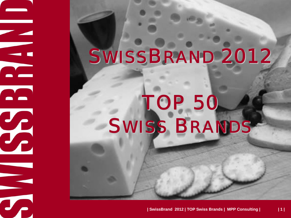## SWISSBRAND 2012

# TOP 50 SWISS BRANDS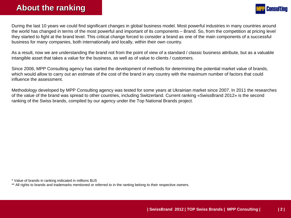#### **About the ranking About the ranking**



During the last 10 years we could find significant changes in global business model. Most powerful industries in many countries around the world has changed in terms of the most powerful and important of its components – Brand. So, from the competition at pricing level they started to fight at the brand level. This critical change forced to consider a brand as one of the main components of a successful business for many companies, both internationally and locally, within their own country.

As a result, now we are understanding the brand not from the point of view of a standard / classic business attribute, but as a valuable intangible asset that takes a value for the business, as well as of value to clients / customers.

Since 2006, MPP Consulting agency has started the development of methods for determining the potential market value of brands, which would allow to carry out an estimate of the cost of the brand in any country with the maximum number of factors that could influence the assessment.

Methodology developed by MPP Consulting agency was tested for some years at Ukrainian market since 2007. In 2011 the researches of the value of the brand was spread to other countries, including Switzerland. Current ranking «SwissBrand 2012» is the second ranking of the Swiss brands, compiled by our agency under the Top National Brands project.

\* Value of brands in ranking indicated in millions \$US

\*\* All rights to brands and trademarks mentioned or referred to in the ranting belong to their respective owners.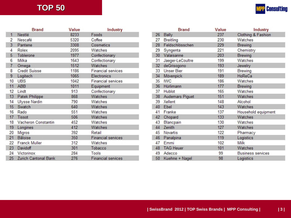## **TOP 50**

|  | <b>MPP Consulting</b> |
|--|-----------------------|
|--|-----------------------|

|    | <b>Brand</b>         | Value | <b>Industry</b>           |
|----|----------------------|-------|---------------------------|
| 1  | Nestlé               | 8233  | Foods                     |
| 2  | Nescafé              | 5320  | Coffee                    |
| 3  | Pantene              | 3308  | Cosmetics                 |
| 4  | Rolex                | 2095  | Watches                   |
| 5  | Toblerone            | 1977  | Confectionary             |
| 6  | Milka                | 1643  | Confectionary             |
| 7  | Omega                | 1512  | Watches                   |
| 8  | <b>Credit Suisse</b> | 1186  | <b>Financial services</b> |
| 9  | Logitech             | 1065  | Electronics               |
| 10 | <b>UBS</b>           | 1042  | <b>Financial services</b> |
| 11 | ABB                  | 1011  | Equipment                 |
| 12 | Lindt                | 913   | Confectionary             |
| 13 | Patek Philippe       | 868   | Watches                   |
| 14 | <b>Ulysse Nardin</b> | 790   | Watches                   |
| 15 | Swatch               | 640   | Watches                   |
| 16 | Rado                 | 551   | Watches                   |
| 17 | <b>Tissot</b>        | 506   | Watches                   |
| 18 | Vacheron Constantin  | 452   | Watches                   |
| 19 | Longines             | 412   | Watches                   |
| 20 | Migros               | 392   | Retail                    |
| 21 | <b>Bâloise</b>       | 350   | <b>Financial services</b> |
| 22 | <b>Franck Muller</b> | 312   | Watches                   |
| 23 | Davidoff             | 301   | Tobacco                   |
| 24 | Victorinox           | 284   | Tools                     |
| 25 | Zurich Cantonal Bank | 276   | <b>Financial services</b> |

|    | <b>Brand</b>      | Value | Industry                 |
|----|-------------------|-------|--------------------------|
| 26 | Bally             | 237   | Clothing & Fashion       |
| 27 | <b>Breitling</b>  | 230   | Watches                  |
| 28 | Feldschlösschen   | 229   | <b>Brewing</b>           |
| 29 | Syngenta          | 221   | Chemistry                |
| 30 | Valaisanne        | 203   | <b>Brewing</b>           |
| 31 | Jaeger-LeCoultre  | 199   | Watches                  |
| 32 | deGrisogono       | 193   | Jewelry                  |
| 33 | <b>Unser Bier</b> | 191   | Brewing                  |
| 34 | Mövenpick         | 189   | HoReCa                   |
| 35 | <b>IWC</b>        | 186   | Watches                  |
| 36 | Hürlimann         | 177   | <b>Brewing</b>           |
| 37 | <b>Hublot</b>     | 165   | Watches                  |
| 38 | Audemars Piguet   | 151   | Watches                  |
| 39 | Xellent           | 148   | Alcohol                  |
| 40 | Ebel              | 143   | Watches                  |
| 41 | Franke            | 137   | Household equipment      |
| 42 | Chopard           | 133   | Watches                  |
| 43 | Blancpain         | 130   | Watches                  |
| 44 | Zenith            | 127   | Watches                  |
| 45 | Novartis          | 122   | Pharmacy                 |
| 46 | Panalpina         | 119   | Logistics                |
| 47 | Emmi              | 102   | Milk                     |
| 48 | <b>TAG Heuer</b>  | 101   | Watches                  |
| 49 | Adecco            | 99    | <b>Business services</b> |
| 50 | Kuehne + Nagel    | 98    | Logistics                |